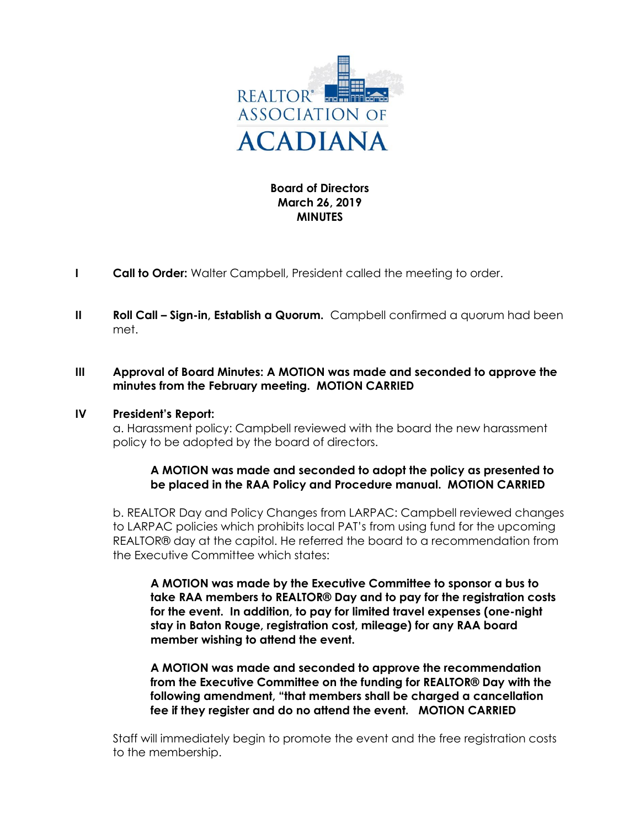

# **Board of Directors March 26, 2019 MINUTES**

- **I Call to Order:** Walter Campbell, President called the meeting to order.
- **II** Roll Call Sign-in, Establish a Quorum. Campbell confirmed a quorum had been met.

# **III Approval of Board Minutes: A MOTION was made and seconded to approve the minutes from the February meeting. MOTION CARRIED**

#### **IV President's Report:**

a. Harassment policy: Campbell reviewed with the board the new harassment policy to be adopted by the board of directors.

### **A MOTION was made and seconded to adopt the policy as presented to be placed in the RAA Policy and Procedure manual. MOTION CARRIED**

b. REALTOR Day and Policy Changes from LARPAC: Campbell reviewed changes to LARPAC policies which prohibits local PAT's from using fund for the upcoming REALTOR® day at the capitol. He referred the board to a recommendation from the Executive Committee which states:

**A MOTION was made by the Executive Committee to sponsor a bus to take RAA members to REALTOR® Day and to pay for the registration costs for the event. In addition, to pay for limited travel expenses (one-night stay in Baton Rouge, registration cost, mileage) for any RAA board member wishing to attend the event.** 

**A MOTION was made and seconded to approve the recommendation from the Executive Committee on the funding for REALTOR® Day with the following amendment, "that members shall be charged a cancellation fee if they register and do no attend the event. MOTION CARRIED**

Staff will immediately begin to promote the event and the free registration costs to the membership.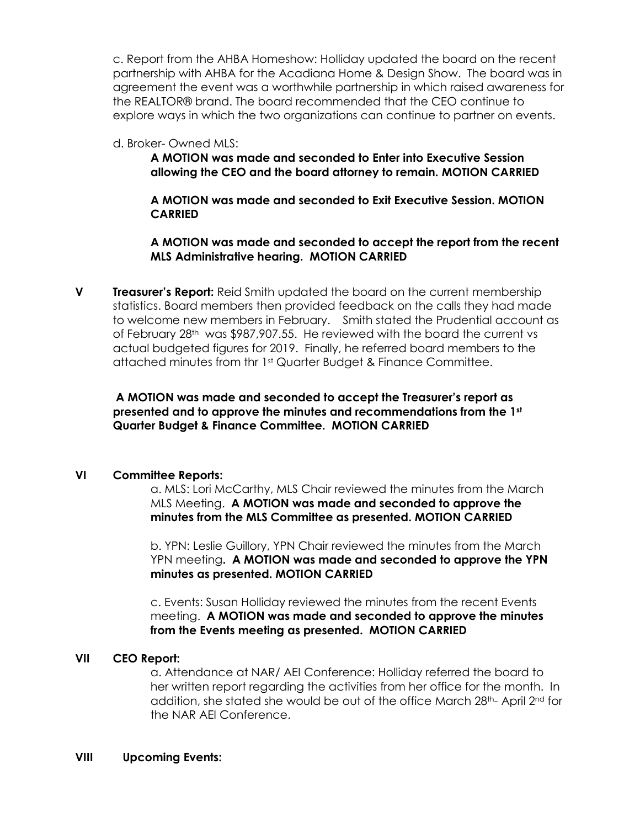c. Report from the AHBA Homeshow: Holliday updated the board on the recent partnership with AHBA for the Acadiana Home & Design Show. The board was in agreement the event was a worthwhile partnership in which raised awareness for the REALTOR® brand. The board recommended that the CEO continue to explore ways in which the two organizations can continue to partner on events.

#### d. Broker- Owned MLS:

## **A MOTION was made and seconded to Enter into Executive Session allowing the CEO and the board attorney to remain. MOTION CARRIED**

## **A MOTION was made and seconded to Exit Executive Session. MOTION CARRIED**

## **A MOTION was made and seconded to accept the report from the recent MLS Administrative hearing. MOTION CARRIED**

**V Treasurer's Report:** Reid Smith updated the board on the current membership statistics. Board members then provided feedback on the calls they had made to welcome new members in February. Smith stated the Prudential account as of February 28<sup>th</sup> was \$987,907.55. He reviewed with the board the current vs actual budgeted figures for 2019. Finally, he referred board members to the attached minutes from thr 1st Quarter Budget & Finance Committee.

## **A MOTION was made and seconded to accept the Treasurer's report as presented and to approve the minutes and recommendations from the 1st Quarter Budget & Finance Committee. MOTION CARRIED**

### **VI Committee Reports:**

a. MLS: Lori McCarthy, MLS Chair reviewed the minutes from the March MLS Meeting. **A MOTION was made and seconded to approve the minutes from the MLS Committee as presented. MOTION CARRIED**

b. YPN: Leslie Guillory, YPN Chair reviewed the minutes from the March YPN meeting**. A MOTION was made and seconded to approve the YPN minutes as presented. MOTION CARRIED**

c. Events: Susan Holliday reviewed the minutes from the recent Events meeting. **A MOTION was made and seconded to approve the minutes from the Events meeting as presented. MOTION CARRIED**

### **VII CEO Report:**

a. Attendance at NAR/ AEI Conference: Holliday referred the board to her written report regarding the activities from her office for the month. In addition, she stated she would be out of the office March 28th- April 2nd for the NAR AEI Conference.

#### **VIII Upcoming Events:**